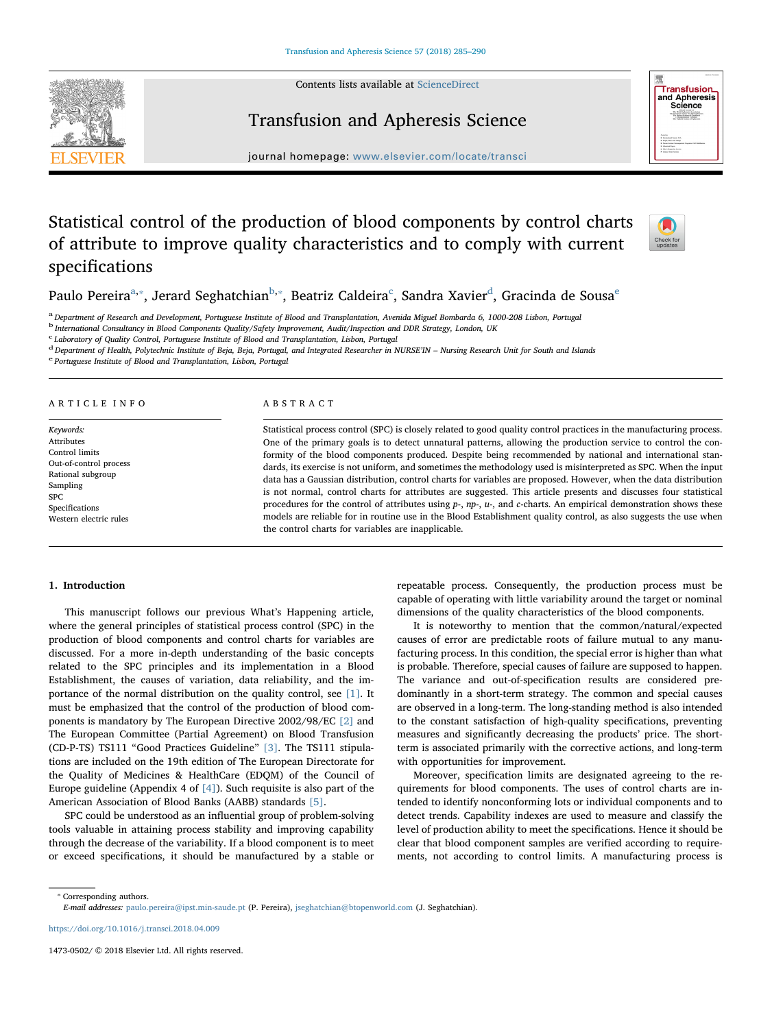Contents lists available at [ScienceDirect](http://www.sciencedirect.com/science/journal/14730502)

Transfusion and Apheresis Science



# **Transfusion** and Apheresis<br>Science

journal homepage: [www.elsevier.com/locate/transci](https://www.elsevier.com/locate/transci)

# Statistical control of the production of blood components by control charts of attribute to improve quality characteristics and to comply with current specifications



Paulo Pereira<sup>[a,](#page-0-0)</sup>\*, Jerard Seghatchian<sup>[b](#page-0-2),</sup>\*, Beatriz Caldeira<sup>[c](#page-0-3)</sup>, San[d](#page-0-4)ra Xavi[e](#page-0-5)r<sup>d</sup>, Gracinda de Sousa<sup>e</sup>

<span id="page-0-0"></span>a Department of Research and Development, Portuguese Institute of Blood and Transplantation, Avenida Miguel Bombarda 6, 1000-208 Lisbon, Portugal

<span id="page-0-2"></span><sup>b</sup> International Consultancy in Blood Components Quality/Safety Improvement, Audit/Inspection and DDR Strategy, London, UK

<span id="page-0-3"></span>c Laboratory of Quality Control, Portuguese Institute of Blood and Transplantation, Lisbon, Portugal

<span id="page-0-4"></span> $^{\text{d}}$  Department of Health, Polytechnic Institute of Beja, Beja, Portugal, and Integrated Researcher in NURSE'IN – Nursing Research Unit for South and Islands  $^{\text{e}}$  Portuguese Institute of Blood and Transplantation,

<span id="page-0-5"></span>

## ARTICLE INFO

Keywords: Attributes Control limits Out-of-control process Rational subgroup Sampling SPC Specifications Western electric rules

#### ABSTRACT

Statistical process control (SPC) is closely related to good quality control practices in the manufacturing process. One of the primary goals is to detect unnatural patterns, allowing the production service to control the conformity of the blood components produced. Despite being recommended by national and international standards, its exercise is not uniform, and sometimes the methodology used is misinterpreted as SPC. When the input data has a Gaussian distribution, control charts for variables are proposed. However, when the data distribution is not normal, control charts for attributes are suggested. This article presents and discusses four statistical procedures for the control of attributes using p-, np-, u-, and c-charts. An empirical demonstration shows these models are reliable for in routine use in the Blood Establishment quality control, as also suggests the use when the control charts for variables are inapplicable.

## <span id="page-0-6"></span>1. Introduction

This manuscript follows our previous What's Happening article, where the general principles of statistical process control (SPC) in the production of blood components and control charts for variables are discussed. For a more in-depth understanding of the basic concepts related to the SPC principles and its implementation in a Blood Establishment, the causes of variation, data reliability, and the importance of the normal distribution on the quality control, see [\[1\]](#page-5-0). It must be emphasized that the control of the production of blood components is mandatory by The European Directive 2002/98/EC [\[2\]](#page-5-1) and The European Committee (Partial Agreement) on Blood Transfusion (CD-P-TS) TS111 "Good Practices Guideline" [\[3\].](#page-5-2) The TS111 stipulations are included on the 19th edition of The European Directorate for the Quality of Medicines & HealthCare (EDQM) of the Council of Europe guideline (Appendix 4 of  $[4]$ ). Such requisite is also part of the American Association of Blood Banks (AABB) standards [\[5\].](#page-5-4)

SPC could be understood as an influential group of problem-solving tools valuable in attaining process stability and improving capability through the decrease of the variability. If a blood component is to meet or exceed specifications, it should be manufactured by a stable or

repeatable process. Consequently, the production process must be capable of operating with little variability around the target or nominal dimensions of the quality characteristics of the blood components.

It is noteworthy to mention that the common/natural/expected causes of error are predictable roots of failure mutual to any manufacturing process. In this condition, the special error is higher than what is probable. Therefore, special causes of failure are supposed to happen. The variance and out-of-specification results are considered predominantly in a short-term strategy. The common and special causes are observed in a long-term. The long-standing method is also intended to the constant satisfaction of high-quality specifications, preventing measures and significantly decreasing the products' price. The shortterm is associated primarily with the corrective actions, and long-term with opportunities for improvement.

Moreover, specification limits are designated agreeing to the requirements for blood components. The uses of control charts are intended to identify nonconforming lots or individual components and to detect trends. Capability indexes are used to measure and classify the level of production ability to meet the specifications. Hence it should be clear that blood component samples are verified according to requirements, not according to control limits. A manufacturing process is

<https://doi.org/10.1016/j.transci.2018.04.009>

<span id="page-0-1"></span><sup>⁎</sup> Corresponding authors.

E-mail addresses: [paulo.pereira@ipst.min-saude.pt](mailto:paulo.pereira@ipst.min-saude.pt) (P. Pereira), [jseghatchian@btopenworld.com](mailto:jseghatchian@btopenworld.com) (J. Seghatchian).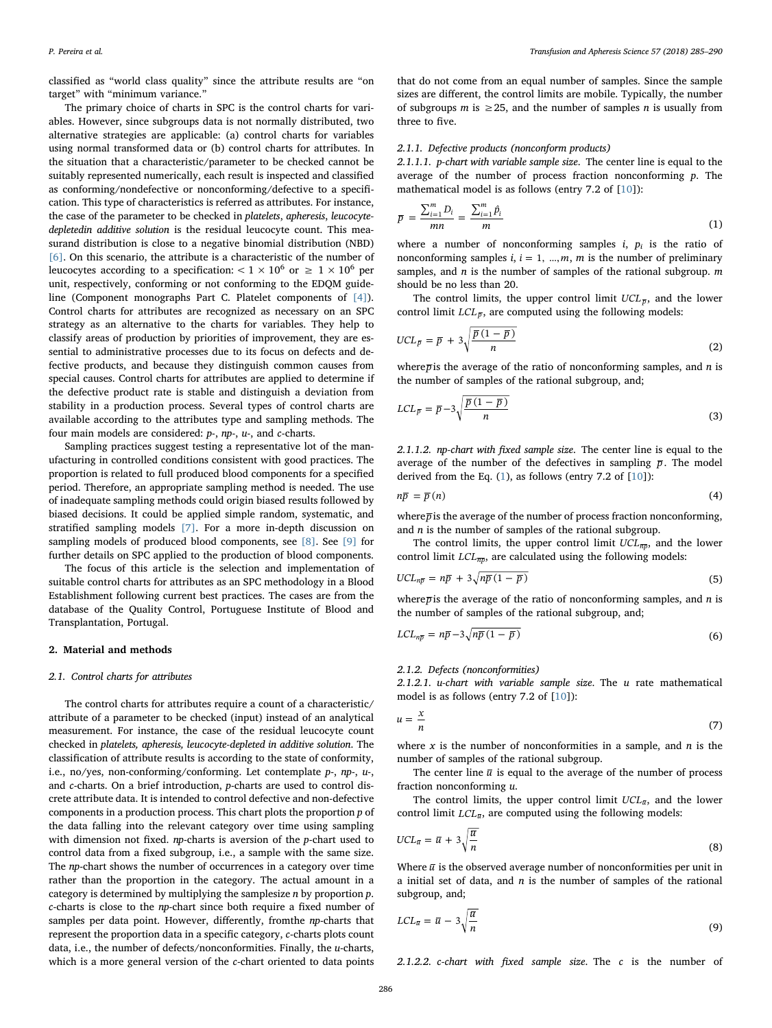classified as "world class quality" since the attribute results are "on target" with "minimum variance."

The primary choice of charts in SPC is the control charts for variables. However, since subgroups data is not normally distributed, two alternative strategies are applicable: (a) control charts for variables using normal transformed data or (b) control charts for attributes. In the situation that a characteristic/parameter to be checked cannot be suitably represented numerically, each result is inspected and classified as conforming/nondefective or nonconforming/defective to a specification. This type of characteristics is referred as attributes. For instance, the case of the parameter to be checked in platelets, apheresis, leucocytedepletedin additive solution is the residual leucocyte count. This measurand distribution is close to a negative binomial distribution (NBD) [\[6\].](#page-5-5) On this scenario, the attribute is a characteristic of the number of leucocytes according to a specification:  $< 1 \times 10^6$  or  $\geq 1 \times 10^6$  per unit, respectively, conforming or not conforming to the EDQM guideline (Component monographs Part C. Platelet components of [\[4\]](#page-5-3)). Control charts for attributes are recognized as necessary on an SPC strategy as an alternative to the charts for variables. They help to classify areas of production by priorities of improvement, they are essential to administrative processes due to its focus on defects and defective products, and because they distinguish common causes from special causes. Control charts for attributes are applied to determine if the defective product rate is stable and distinguish a deviation from stability in a production process. Several types of control charts are available according to the attributes type and sampling methods. The four main models are considered: p-, np-, u-, and c-charts.

Sampling practices suggest testing a representative lot of the manufacturing in controlled conditions consistent with good practices. The proportion is related to full produced blood components for a specified period. Therefore, an appropriate sampling method is needed. The use of inadequate sampling methods could origin biased results followed by biased decisions. It could be applied simple random, systematic, and stratified sampling models [\[7\].](#page-5-6) For a more in-depth discussion on sampling models of produced blood components, see [\[8\].](#page-5-7) See [\[9\]](#page-5-8) for further details on SPC applied to the production of blood components.

The focus of this article is the selection and implementation of suitable control charts for attributes as an SPC methodology in a Blood Establishment following current best practices. The cases are from the database of the Quality Control, Portuguese Institute of Blood and Transplantation, Portugal.

#### <span id="page-1-0"></span>2. Material and methods

#### 2.1. Control charts for attributes

The control charts for attributes require a count of a characteristic/ attribute of a parameter to be checked (input) instead of an analytical measurement. For instance, the case of the residual leucocyte count checked in platelets, apheresis, leucocyte-depleted in additive solution. The classification of attribute results is according to the state of conformity, i.e., no/yes, non-conforming/conforming. Let contemplate p-, np-, u-, and c-charts. On a brief introduction, p-charts are used to control discrete attribute data. It is intended to control defective and non-defective components in a production process. This chart plots the proportion p of the data falling into the relevant category over time using sampling with dimension not fixed.  $np$ -charts is aversion of the  $p$ -chart used to control data from a fixed subgroup, i.e., a sample with the same size. The np-chart shows the number of occurrences in a category over time rather than the proportion in the category. The actual amount in a category is determined by multiplying the samplesize  $n$  by proportion  $p$ . c-charts is close to the np-chart since both require a fixed number of samples per data point. However, differently, from the np-charts that represent the proportion data in a specific category, c-charts plots count data, i.e., the number of defects/nonconformities. Finally, the u-charts, which is a more general version of the c-chart oriented to data points

that do not come from an equal number of samples. Since the sample sizes are different, the control limits are mobile. Typically, the number of subgroups *m* is  $\geq$  25, and the number of samples *n* is usually from three to five.

#### 2.1.1. Defective products (nonconform products)

2.1.1.1. p-chart with variable sample size. The center line is equal to the average of the number of process fraction nonconforming  $p$ . The mathematical model is as follows (entry 7.2 of [\[10](#page-5-9)]):

$$
\overline{p} = \frac{\sum_{i=1}^{m} D_i}{mn} = \frac{\sum_{i=1}^{m} \hat{p}_i}{m}
$$
\n(1)

where a number of nonconforming samples *i*,  $p_i$  is the ratio of nonconforming samples *i*,  $i = 1, ..., m$ , *m* is the number of preliminary samples, and  $n$  is the number of samples of the rational subgroup.  $m$ should be no less than 20.

The control limits, the upper control limit  $UCL_{\bar{p}}$ , and the lower control limit  $LCL_{\overline{p}}$ , are computed using the following models:

$$
UCL_{\overline{p}} = \overline{p} + 3\sqrt{\frac{\overline{p}(1-\overline{p})}{n}}
$$
 (2)

where $\bar{p}$  is the average of the ratio of nonconforming samples, and *n* is the number of samples of the rational subgroup, and;

$$
LCL_{\overline{p}} = \overline{p} - 3\sqrt{\frac{\overline{p}(1-\overline{p})}{n}}
$$
\n(3)

2.1.1.2. np-chart with fixed sample size. The center line is equal to the average of the number of the defectives in sampling  $\bar{p}$ . The model derived from the Eq. [\(1\)](#page-0-6), as follows (entry 7.2 of [\[10](#page-5-9)]):

$$
n\overline{p} = \overline{p}(n) \tag{4}
$$

where $\bar{p}$  is the average of the number of process fraction nonconforming, and  $n$  is the number of samples of the rational subgroup.

The control limits, the upper control limit  $UCL_{\overline{np}}$ , and the lower control limit  $LCL_{\overline{ND}}$ , are calculated using the following models:

$$
UCL_{n\overline{p}} = n\overline{p} + 3\sqrt{n\overline{p}(1-\overline{p})}
$$
\n(5)

where $\overline{p}$  is the average of the ratio of nonconforming samples, and *n* is the number of samples of the rational subgroup, and;

$$
LCL_{n\overline{p}} = n\overline{p} - 3\sqrt{n\overline{p}(1-\overline{p})}
$$
\n(6)

#### 2.1.2. Defects (nonconformities)

2.1.2.1. u-chart with variable sample size. The u rate mathematical model is as follows (entry 7.2 of [\[10](#page-5-9)]):

$$
u = \frac{x}{n} \tag{7}
$$

where x is the number of nonconformities in a sample, and  $n$  is the number of samples of the rational subgroup.

The center line  $\overline{u}$  is equal to the average of the number of process fraction nonconforming u.

The control limits, the upper control limit  $UCL_{\bar{u}}$ , and the lower control limit  $LCL_{\bar{u}}$ , are computed using the following models:

$$
UCL_{\overline{u}} = \overline{u} + 3\sqrt{\frac{\overline{u}}{n}}
$$
 (8)

Where  $\overline{u}$  is the observed average number of nonconformities per unit in a initial set of data, and  $n$  is the number of samples of the rational subgroup, and;

$$
LCL_{\overline{u}} = \overline{u} - 3\sqrt{\frac{\overline{u}}{n}} \tag{9}
$$

2.1.2.2. c-chart with fixed sample size. The c is the number of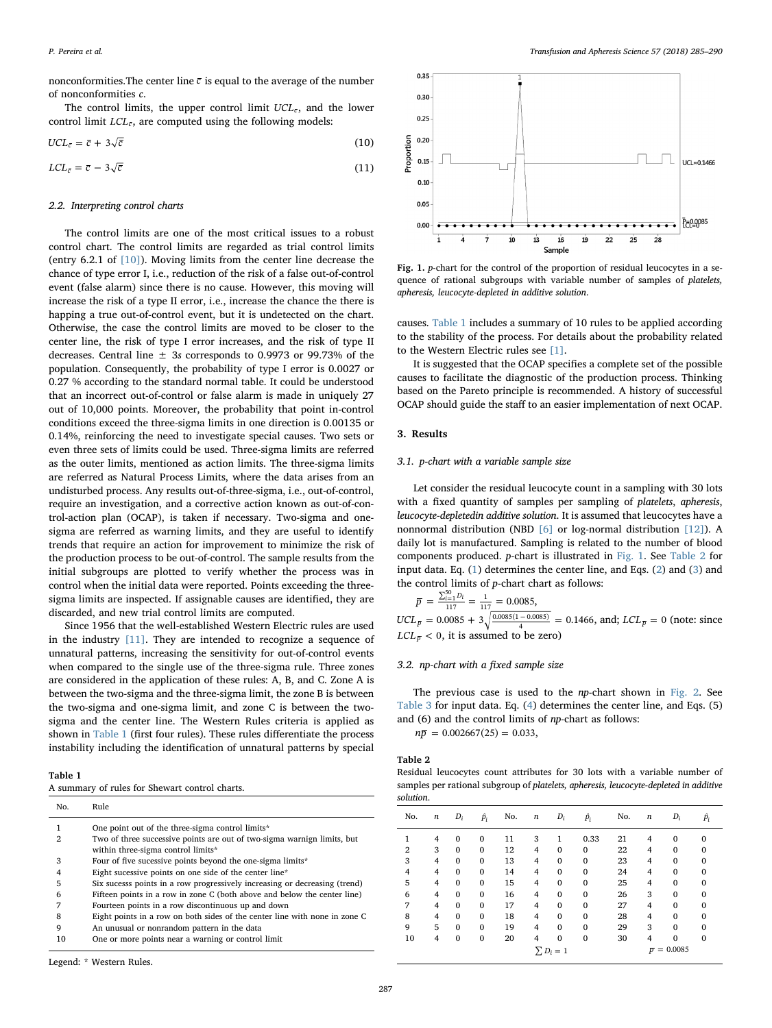nonconformities. The center line  $\bar{c}$  is equal to the average of the number of nonconformities c.

The control limits, the upper control limit  $UCL_{\bar{c}}$ , and the lower control limit  $LCL_{\bar{c}}$ , are computed using the following models:

$$
UCL_{\bar{c}} = \bar{c} + 3\sqrt{\bar{c}} \tag{10}
$$

$$
LCL_{\bar{c}} = \bar{c} - 3\sqrt{\bar{c}} \tag{11}
$$

#### 2.2. Interpreting control charts

The control limits are one of the most critical issues to a robust control chart. The control limits are regarded as trial control limits (entry 6.2.1 of [\[10\]\)](#page-5-9). Moving limits from the center line decrease the chance of type error I, i.e., reduction of the risk of a false out-of-control event (false alarm) since there is no cause. However, this moving will increase the risk of a type II error, i.e., increase the chance the there is happing a true out-of-control event, but it is undetected on the chart. Otherwise, the case the control limits are moved to be closer to the center line, the risk of type I error increases, and the risk of type II decreases. Central line  $\pm$  3s corresponds to 0.9973 or 99.73% of the population. Consequently, the probability of type I error is 0.0027 or 0.27 % according to the standard normal table. It could be understood that an incorrect out-of-control or false alarm is made in uniquely 27 out of 10,000 points. Moreover, the probability that point in-control conditions exceed the three-sigma limits in one direction is 0.00135 or 0.14%, reinforcing the need to investigate special causes. Two sets or even three sets of limits could be used. Three-sigma limits are referred as the outer limits, mentioned as action limits. The three-sigma limits are referred as Natural Process Limits, where the data arises from an undisturbed process. Any results out-of-three-sigma, i.e., out-of-control, require an investigation, and a corrective action known as out-of-control-action plan (OCAP), is taken if necessary. Two-sigma and onesigma are referred as warning limits, and they are useful to identify trends that require an action for improvement to minimize the risk of the production process to be out-of-control. The sample results from the initial subgroups are plotted to verify whether the process was in control when the initial data were reported. Points exceeding the threesigma limits are inspected. If assignable causes are identified, they are discarded, and new trial control limits are computed.

Since 1956 that the well-established Western Electric rules are used in the industry [\[11\]](#page-5-10). They are intended to recognize a sequence of unnatural patterns, increasing the sensitivity for out-of-control events when compared to the single use of the three-sigma rule. Three zones are considered in the application of these rules: A, B, and C. Zone A is between the two-sigma and the three-sigma limit, the zone B is between the two-sigma and one-sigma limit, and zone C is between the twosigma and the center line. The Western Rules criteria is applied as shown in [Table 1](#page-2-0) (first four rules). These rules differentiate the process instability including the identification of unnatural patterns by special

### <span id="page-2-0"></span>Table 1

|  |  |  |  |  | A summary of rules for Shewart control charts. |  |  |
|--|--|--|--|--|------------------------------------------------|--|--|
|--|--|--|--|--|------------------------------------------------|--|--|

| No.                      | Rule                                                                                                          |
|--------------------------|---------------------------------------------------------------------------------------------------------------|
|                          | One point out of the three-sigma control limits*                                                              |
| $\mathfrak{D}_{1}^{(1)}$ | Two of three successive points are out of two-sigma warnign limits, but<br>within three-sigma control limits* |
| 3                        | Four of five sucessive points beyond the one-sigma limits*                                                    |
| 4                        | Eight sucessive points on one side of the center line*                                                        |
| 5                        | Six sucesss points in a row progressively increasing or decreasing (trend)                                    |
| 6                        | Fifteen points in a row in zone C (both above and below the center line)                                      |
| 7                        | Fourteen points in a row discontinuous up and down                                                            |
| 8                        | Eight points in a row on both sides of the center line with none in zone C                                    |
| 9                        | An unusual or nonrandom pattern in the data                                                                   |
| 10                       | One or more points near a warning or control limit                                                            |

<span id="page-2-1"></span>

Fig. 1. p-chart for the control of the proportion of residual leucocytes in a sequence of rational subgroups with variable number of samples of platelets, apheresis, leucocyte-depleted in additive solution.

causes. [Table 1](#page-2-0) includes a summary of 10 rules to be applied according to the stability of the process. For details about the probability related to the Western Electric rules see [\[1\]](#page-5-0).

It is suggested that the OCAP specifies a complete set of the possible causes to facilitate the diagnostic of the production process. Thinking based on the Pareto principle is recommended. A history of successful OCAP should guide the staff to an easier implementation of next OCAP.

#### <span id="page-2-3"></span>3. Results

#### 3.1. p-chart with a variable sample size

Let consider the residual leucocyte count in a sampling with 30 lots with a fixed quantity of samples per sampling of platelets, apheresis, leucocyte-depletedin additive solution. It is assumed that leucocytes have a nonnormal distribution (NBD [\[6\]](#page-5-5) or log-normal distribution [\[12\]\)](#page-5-11). A daily lot is manufactured. Sampling is related to the number of blood components produced. p-chart is illustrated in [Fig. 1.](#page-2-1) See [Table 2](#page-2-2) for input data. Eq. [\(1\)](#page-0-6) determines the center line, and Eqs. [\(2\)](#page-1-0) and ([3](#page-2-3)) and the control limits of p-chart chart as follows:

$$
\overline{p} = \frac{\sum_{i=1}^{50} D_i}{117} = \frac{1}{117} = 0.0085,
$$
  
UCL <sub>$\overline{p}$</sub>  = 0.0085 + 3 $\sqrt{\frac{0.0085(1 - 0.0085)}{4}} = 0.1466$ , and; LCL <sub>$\overline{p}$</sub>  = 0 (no

ote: since *LCL*<sub> $\overline{p}$ </sub> < 0, it is assumed to be zero)

# 3.2. np-chart with a fixed sample size

The previous case is used to the np-chart shown in [Fig. 2](#page-3-0). See [Table 3](#page-3-1) for input data. Eq. ([4](#page-3-2)) determines the center line, and Eqs. (5) and (6) and the control limits of np-chart as follows:

 $n\overline{p} = 0.002667(25) = 0.033,$ 

### <span id="page-2-2"></span>Table 2

Residual leucocytes count attributes for 30 lots with a variable number of samples per rational subgroup of platelets, apheresis, leucocyte-depleted in additive solution.

| No. | n              | $D_i$        | $\hat{p}_i$  | No. | n | $D_i$        | $\hat{p}_i$  | No. | n | $D_i$              | $\hat{p}_i$ |
|-----|----------------|--------------|--------------|-----|---|--------------|--------------|-----|---|--------------------|-------------|
| 1   | 4              | $\mathbf{0}$ | $\mathbf{0}$ | 11  | 3 |              | 0.33         | 21  | 4 | $\mathbf{0}$       | $\Omega$    |
| 2   | 3              | $\mathbf 0$  | $\mathbf 0$  | 12  | 4 | $\mathbf{0}$ | $\mathbf{0}$ | 22  | 4 | $\mathbf 0$        | 0           |
| 3   | 4              | $\bf{0}$     | $\mathbf 0$  | 13  | 4 | $\mathbf{0}$ | $\mathbf 0$  | 23  | 4 | $\mathbf 0$        | $\mathbf 0$ |
| 4   | 4              | $\bf{0}$     | $\mathbf 0$  | 14  | 4 | $\mathbf{0}$ | $\mathbf 0$  | 24  | 4 | $\mathbf 0$        | 0           |
| 5   | $\overline{4}$ | $\mathbf{0}$ | $\mathbf 0$  | 15  | 4 | $\mathbf{0}$ | $\mathbf 0$  | 25  | 4 | $\mathbf{0}$       | 0           |
| 6   | 4              | $\mathbf{0}$ | $\mathbf 0$  | 16  | 4 | $\mathbf{0}$ | $\mathbf{0}$ | 26  | 3 | $\mathbf{0}$       | $\Omega$    |
| 7   | $\overline{4}$ | $\mathbf{0}$ | $\mathbf 0$  | 17  | 4 | $\mathbf{0}$ | $\mathbf{0}$ | 27  | 4 | $\mathbf{0}$       | $\Omega$    |
| 8   | 4              | $\bf{0}$     | $\mathbf 0$  | 18  | 4 | $\mathbf{0}$ | $\mathbf 0$  | 28  | 4 | $\mathbf 0$        | 0           |
| 9   | 5              | $\mathbf{0}$ | $\mathbf 0$  | 19  | 4 | $\mathbf{0}$ | $\mathbf 0$  | 29  | 3 | $\mathbf 0$        | 0           |
| 10  | $\overline{4}$ | $\mathbf{0}$ | $\mathbf{0}$ | 20  | 4 | $\mathbf{0}$ | $\mathbf{0}$ | 30  | 4 | $\mathbf{0}$       | $\Omega$    |
|     | $\sum D_i = 1$ |              |              |     |   |              |              |     |   | $\bar{p} = 0.0085$ |             |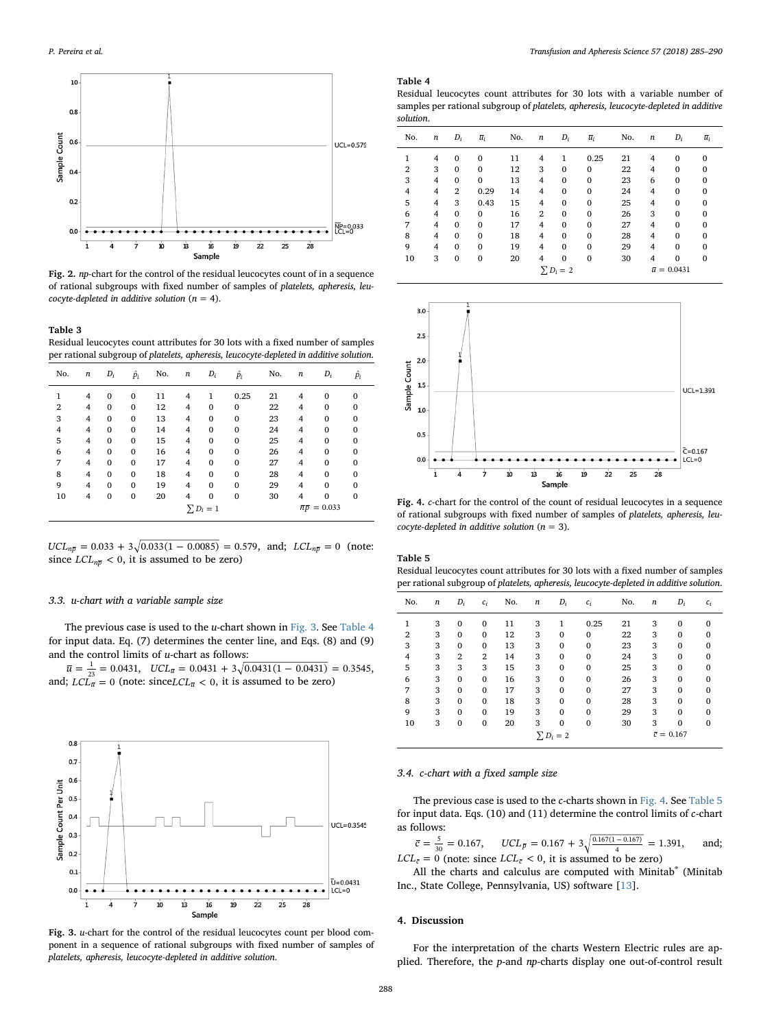<span id="page-3-0"></span>

Fig. 2. np-chart for the control of the residual leucocytes count of in a sequence of rational subgroups with fixed number of samples of platelets, apheresis, leucocyte-depleted in additive solution ( $n = 4$ ).

<span id="page-3-1"></span>Table 3

Residual leucocytes count attributes for 30 lots with a fixed number of samples per rational subgroup of platelets, apheresis, leucocyte-depleted in additive solution.

| No.            | n | $D_i$        | $\hat{p}_i$  | No. | n              | $D_i$        | $\hat{p}_i$  | No. | n              | $D_i$                              | $\hat{p}_i$ |
|----------------|---|--------------|--------------|-----|----------------|--------------|--------------|-----|----------------|------------------------------------|-------------|
| 1              | 4 | $\mathbf{0}$ | $\mathbf{0}$ | 11  | $\overline{4}$ | 1            | 0.25         | 21  | 4              | $\mathbf{0}$                       | $\Omega$    |
| $\overline{2}$ | 4 | $\mathbf{0}$ | $\mathbf{0}$ | 12  | 4              | $\mathbf{0}$ | $\mathbf{0}$ | 22  | 4              | $\mathbf 0$                        | $\Omega$    |
| 3              | 4 | $\mathbf{0}$ | $\mathbf{0}$ | 13  | 4              | $\mathbf{0}$ | $\mathbf{0}$ | 23  | 4              | 0                                  |             |
| $\overline{4}$ | 4 | $\mathbf{0}$ | $\mathbf{0}$ | 14  | $\overline{4}$ | $\mathbf{0}$ | $\mathbf{0}$ | 24  | 4              | $\mathbf{0}$                       |             |
| 5              | 4 | $\mathbf{0}$ | $\mathbf{0}$ | 15  | $\overline{4}$ | $\mathbf{0}$ | $\mathbf{0}$ | 25  | $\overline{4}$ | $\mathbf{0}$                       | $\Omega$    |
| 6              | 4 | $\mathbf{0}$ | $\mathbf{0}$ | 16  | 4              | $\mathbf{0}$ | $\mathbf{0}$ | 26  | 4              | $\mathbf{0}$                       |             |
| 7              | 4 | $\mathbf{0}$ | $\Omega$     | 17  | 4              | $\Omega$     | $\Omega$     | 27  | 4              | $\mathbf 0$                        |             |
| 8              | 4 | $\mathbf{0}$ | $\mathbf{0}$ | 18  | 4              | $\mathbf{0}$ | $\mathbf{0}$ | 28  | 4              | $\mathbf 0$                        |             |
| 9              | 4 | $\mathbf{0}$ | $\mathbf{0}$ | 19  | $\overline{4}$ | $\mathbf{0}$ | $\mathbf{0}$ | 29  | 4              | $\mathbf{0}$                       |             |
| 10             | 4 | $\mathbf{0}$ | $\mathbf{0}$ | 20  | 4              | $\mathbf{0}$ | $\mathbf{0}$ | 30  | $\overline{4}$ | $\bf{0}$                           | $\Omega$    |
| $\sum D_i = 1$ |   |              |              |     |                |              |              |     |                | $\overline{n}\overline{p} = 0.033$ |             |

 $UCL_{n\overline{p}} = 0.033 + 3\sqrt{0.033(1 - 0.0085)} = 0.579$ , and; *LCL<sub>n</sub>*<sub> $\overline{p} = 0$  (note:</sub> since  $LCL_{n\overline{p}} < 0$ , it is assumed to be zero)

#### 3.3. u-chart with a variable sample size

The previous case is used to the  $u$ -chart shown in [Fig. 3](#page-3-3). See [Table 4](#page-3-4) for input data. Eq. (7) determines the center line, and Eqs. (8) and (9) and the control limits of  $u$ -chart as follows:

 $\overline{u} = \frac{1}{23} = 0.0431$ ,  $UCL_{\overline{u}} = 0.0431 + 3\sqrt{0.0431(1 - 0.0431)} = 0.3545$ , and;  $LCL_{\bar{u}} = 0$  (note: since $LCL_{\bar{u}} < 0$ , it is assumed to be zero)

<span id="page-3-3"></span>

Fig. 3. u-chart for the control of the residual leucocytes count per blood component in a sequence of rational subgroups with fixed number of samples of platelets, apheresis, leucocyte-depleted in additive solution.

#### <span id="page-3-4"></span>Table 4

Residual leucocytes count attributes for 30 lots with a variable number of samples per rational subgroup of platelets, apheresis, leucocyte-depleted in additive solution.

| No.            | n              | $D_i$          | $\bar{u}_i$  | No. | n              | $D_i$        | $\bar{u}_i$  | No. | n | $D_i$              | $\overline{u}_i$ |
|----------------|----------------|----------------|--------------|-----|----------------|--------------|--------------|-----|---|--------------------|------------------|
| 1              | 4              | $\mathbf{0}$   | $\mathbf{0}$ | 11  | 4              | 1            | 0.25         | 21  | 4 | $\mathbf{0}$       | $\Omega$         |
| $\overline{2}$ | 3              | $\mathbf{0}$   | $\mathbf{0}$ | 12  | 3              | $\mathbf{0}$ | $\bf{0}$     | 22  | 4 | $\mathbf{0}$       | $\Omega$         |
| 3              | 4              | $\mathbf{0}$   | $\mathbf{0}$ | 13  | 4              | $\mathbf{0}$ | $\mathbf{0}$ | 23  | 6 | $\mathbf 0$        | 0                |
| $\overline{4}$ | 4              | $\overline{2}$ | 0.29         | 14  | $\overline{4}$ | $\mathbf{0}$ | $\mathbf{0}$ | 24  | 4 | $\Omega$           | $\Omega$         |
| 5              | 4              | 3              | 0.43         | 15  | $\overline{4}$ | $\mathbf{0}$ | $\mathbf{0}$ | 25  | 4 | $\Omega$           | $\Omega$         |
| 6              | 4              | $\mathbf{0}$   | $\mathbf{0}$ | 16  | $\overline{2}$ | $\mathbf{0}$ | $\mathbf{0}$ | 26  | 3 | $\Omega$           | $\Omega$         |
| 7              | 4              | $\Omega$       | $\Omega$     | 17  | 4              | $\mathbf{0}$ | $\mathbf{0}$ | 27  | 4 | $\Omega$           | $\Omega$         |
| 8              | 4              | $\mathbf{0}$   | $\mathbf{0}$ | 18  | $\overline{4}$ | $\mathbf{0}$ | $\mathbf{0}$ | 28  | 4 | $\Omega$           | $\Omega$         |
| 9              | 4              | $\mathbf{0}$   | $\mathbf{0}$ | 19  | 4              | $\mathbf{0}$ | $\mathbf{0}$ | 29  | 4 | $\Omega$           | $\Omega$         |
| 10             | 3              | $\mathbf{0}$   | $\mathbf{0}$ | 20  | 4              | $\bf{0}$     | $\mathbf{0}$ | 30  | 4 | $\mathbf 0$        | 0                |
|                | $\sum D_i = 2$ |                |              |     |                |              |              |     |   | $\bar{u} = 0.0431$ |                  |

<span id="page-3-5"></span>

Fig. 4. c-chart for the control of the count of residual leucocytes in a sequence of rational subgroups with fixed number of samples of platelets, apheresis, leucocyte-depleted in additive solution ( $n = 3$ ).

<span id="page-3-6"></span>Table 5

Residual leucocytes count attributes for 30 lots with a fixed number of samples per rational subgroup of platelets, apheresis, leucocyte-depleted in additive solution.

| No.            | n | $D_i$          | $c_i$          | No. | $\boldsymbol{n}$ | $D_i$        | $c_i$        | No. | $\boldsymbol{n}$       | $D_i$        | $c_i$    |
|----------------|---|----------------|----------------|-----|------------------|--------------|--------------|-----|------------------------|--------------|----------|
|                | 3 | $\mathbf{0}$   | $\mathbf{0}$   | 11  | 3                | 1            | 0.25         | 21  | 3                      | $\mathbf{0}$ | $\Omega$ |
| $\overline{2}$ | 3 | $\mathbf{0}$   | $\mathbf{0}$   | 12  | 3                | $\mathbf{0}$ | 0            | 22  | 3                      | $\mathbf{0}$ | 0        |
| 3              | 3 | $\mathbf{0}$   | $\mathbf{0}$   | 13  | 3                | $\mathbf{0}$ | 0            | 23  | 3                      | $\mathbf{0}$ | 0        |
| 4              | 3 | $\overline{2}$ | $\overline{2}$ | 14  | 3                | $\mathbf{0}$ | 0            | 24  | 3                      | $\Omega$     | 0        |
| 5              | 3 | 3              | 3              | 15  | 3                | $\mathbf{0}$ | 0            | 25  | 3                      | $\mathbf{0}$ | $\Omega$ |
| 6              | 3 | 0              | $\mathbf{0}$   | 16  | 3                | $\mathbf{0}$ | 0            | 26  | 3                      | $\mathbf{0}$ | 0        |
| 7              | 3 | $\mathbf{0}$   | $\mathbf{0}$   | 17  | 3                | $\mathbf{0}$ | 0            | 27  | 3                      | $\mathbf{0}$ | 0        |
| 8              | 3 | $\mathbf{0}$   | $\mathbf{0}$   | 18  | 3                | $\mathbf{0}$ | $\mathbf{0}$ | 28  | 3                      | $\Omega$     | $\Omega$ |
| 9              | 3 | $\mathbf{0}$   | $\mathbf{0}$   | 19  | 3                | $\mathbf{0}$ | $\mathbf{0}$ | 29  | 3                      | $\mathbf{0}$ | $\Omega$ |
| 10             | 3 | $\bf{0}$       | $\mathbf{0}$   | 20  | 3                | $\bf{0}$     | 0            | 30  | 3                      | $\mathbf 0$  | 0        |
| $\sum D_i = 2$ |   |                |                |     |                  |              |              |     | $\overline{c} = 0.167$ |              |          |

#### 3.4. c-chart with a fixed sample size

The previous case is used to the c-charts shown in [Fig. 4.](#page-3-5) See [Table 5](#page-3-6) for input data. Eqs. (10) and (11) determine the control limits of c-chart as follows:

 $\bar{c} = \frac{5}{30} = 0.167$ ,  $UCL_{\bar{p}} = 0.167 + 3\sqrt{\frac{0.167(1 - 0.167)}{4}} = 1.391$ , and;  $LCL<sub>\bar{c}</sub> = 0$  (note: since  $LCL<sub>\bar{c}</sub> < 0$ , it is assumed to be zero)

All the charts and calculus are computed with Minitab® (Minitab Inc., State College, Pennsylvania, US) software [[13\]](#page-5-12).

# <span id="page-3-2"></span>4. Discussion

For the interpretation of the charts Western Electric rules are applied. Therefore, the p-and np-charts display one out-of-control result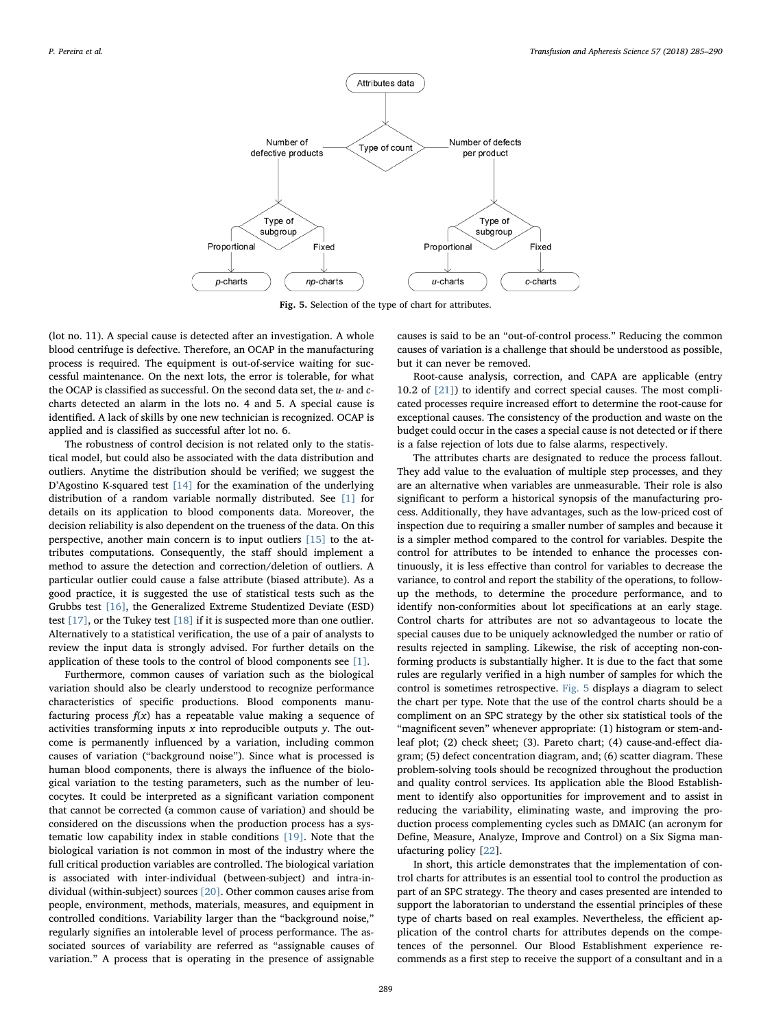<span id="page-4-0"></span>

Fig. 5. Selection of the type of chart for attributes.

(lot no. 11). A special cause is detected after an investigation. A whole blood centrifuge is defective. Therefore, an OCAP in the manufacturing process is required. The equipment is out-of-service waiting for successful maintenance. On the next lots, the error is tolerable, for what the OCAP is classified as successful. On the second data set, the  $u$ - and  $c$ charts detected an alarm in the lots no. 4 and 5. A special cause is identified. A lack of skills by one new technician is recognized. OCAP is applied and is classified as successful after lot no. 6.

The robustness of control decision is not related only to the statistical model, but could also be associated with the data distribution and outliers. Anytime the distribution should be verified; we suggest the D'Agostino K-squared test [\[14\]](#page-5-13) for the examination of the underlying distribution of a random variable normally distributed. See [\[1\]](#page-5-0) for details on its application to blood components data. Moreover, the decision reliability is also dependent on the trueness of the data. On this perspective, another main concern is to input outliers [\[15\]](#page-5-14) to the attributes computations. Consequently, the staff should implement a method to assure the detection and correction/deletion of outliers. A particular outlier could cause a false attribute (biased attribute). As a good practice, it is suggested the use of statistical tests such as the Grubbs test [\[16\]](#page-5-15), the Generalized Extreme Studentized Deviate (ESD) test [\[17\],](#page-5-16) or the Tukey test [\[18\]](#page-5-17) if it is suspected more than one outlier. Alternatively to a statistical verification, the use of a pair of analysts to review the input data is strongly advised. For further details on the application of these tools to the control of blood components see [\[1\]](#page-5-0).

Furthermore, common causes of variation such as the biological variation should also be clearly understood to recognize performance characteristics of specific productions. Blood components manufacturing process  $f(x)$  has a repeatable value making a sequence of activities transforming inputs  $x$  into reproducible outputs  $y$ . The outcome is permanently influenced by a variation, including common causes of variation ("background noise"). Since what is processed is human blood components, there is always the influence of the biological variation to the testing parameters, such as the number of leucocytes. It could be interpreted as a significant variation component that cannot be corrected (a common cause of variation) and should be considered on the discussions when the production process has a systematic low capability index in stable conditions [\[19\]](#page-5-18). Note that the biological variation is not common in most of the industry where the full critical production variables are controlled. The biological variation is associated with inter-individual (between-subject) and intra-individual (within-subject) sources [\[20\]](#page-5-19). Other common causes arise from people, environment, methods, materials, measures, and equipment in controlled conditions. Variability larger than the "background noise," regularly signifies an intolerable level of process performance. The associated sources of variability are referred as "assignable causes of variation." A process that is operating in the presence of assignable causes is said to be an "out-of-control process." Reducing the common causes of variation is a challenge that should be understood as possible, but it can never be removed.

Root-cause analysis, correction, and CAPA are applicable (entry 10.2 of [\[21\]\)](#page-5-20) to identify and correct special causes. The most complicated processes require increased effort to determine the root-cause for exceptional causes. The consistency of the production and waste on the budget could occur in the cases a special cause is not detected or if there is a false rejection of lots due to false alarms, respectively.

The attributes charts are designated to reduce the process fallout. They add value to the evaluation of multiple step processes, and they are an alternative when variables are unmeasurable. Their role is also significant to perform a historical synopsis of the manufacturing process. Additionally, they have advantages, such as the low-priced cost of inspection due to requiring a smaller number of samples and because it is a simpler method compared to the control for variables. Despite the control for attributes to be intended to enhance the processes continuously, it is less effective than control for variables to decrease the variance, to control and report the stability of the operations, to followup the methods, to determine the procedure performance, and to identify non-conformities about lot specifications at an early stage. Control charts for attributes are not so advantageous to locate the special causes due to be uniquely acknowledged the number or ratio of results rejected in sampling. Likewise, the risk of accepting non-conforming products is substantially higher. It is due to the fact that some rules are regularly verified in a high number of samples for which the control is sometimes retrospective. [Fig. 5](#page-4-0) displays a diagram to select the chart per type. Note that the use of the control charts should be a compliment on an SPC strategy by the other six statistical tools of the "magnificent seven" whenever appropriate: (1) histogram or stem-andleaf plot; (2) check sheet; (3). Pareto chart; (4) cause-and-effect diagram; (5) defect concentration diagram, and; (6) scatter diagram. These problem-solving tools should be recognized throughout the production and quality control services. Its application able the Blood Establishment to identify also opportunities for improvement and to assist in reducing the variability, eliminating waste, and improving the production process complementing cycles such as DMAIC (an acronym for Define, Measure, Analyze, Improve and Control) on a Six Sigma manufacturing policy [\[22](#page-5-21)].

In short, this article demonstrates that the implementation of control charts for attributes is an essential tool to control the production as part of an SPC strategy. The theory and cases presented are intended to support the laboratorian to understand the essential principles of these type of charts based on real examples. Nevertheless, the efficient application of the control charts for attributes depends on the competences of the personnel. Our Blood Establishment experience recommends as a first step to receive the support of a consultant and in a